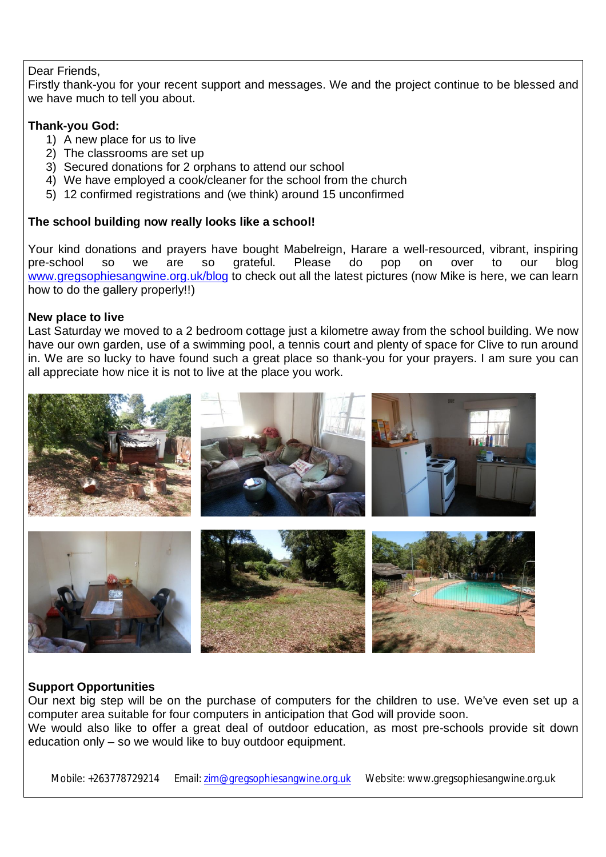## Dear Friends,

Firstly thank-you for your recent support and messages. We and the project continue to be blessed and we have much to tell you about.

## **Thank-you God:**

- 1) A new place for us to live
- 2) The classrooms are set up
- 3) Secured donations for 2 orphans to attend our school
- 4) We have employed a cook/cleaner for the school from the church
- 5) 12 confirmed registrations and (we think) around 15 unconfirmed

## **The school building now really looks like a school!**

Your kind donations and prayers have bought Mabelreign, Harare a well-resourced, vibrant, inspiring pre-school so we are so grateful. Please do pop on over to our blog www.gregsophiesangwine.org.uk/blog to check out all the latest pictures (now Mike is here, we can learn how to do the gallery properly!!)

#### **New place to live**

Last Saturday we moved to a 2 bedroom cottage just a kilometre away from the school building. We now have our own garden, use of a swimming pool, a tennis court and plenty of space for Clive to run around in. We are so lucky to have found such a great place so thank-you for your prayers. I am sure you can all appreciate how nice it is not to live at the place you work.



# **Support Opportunities**

Our next big step will be on the purchase of computers for the children to use. We've even set up a computer area suitable for four computers in anticipation that God will provide soon. We would also like to offer a great deal of outdoor education, as most pre-schools provide sit down education only – so we would like to buy outdoor equipment.

Mobile: +263778729214 Email: zim@gregsophiesangwine.org.uk Website: www.gregsophiesangwine.org.uk